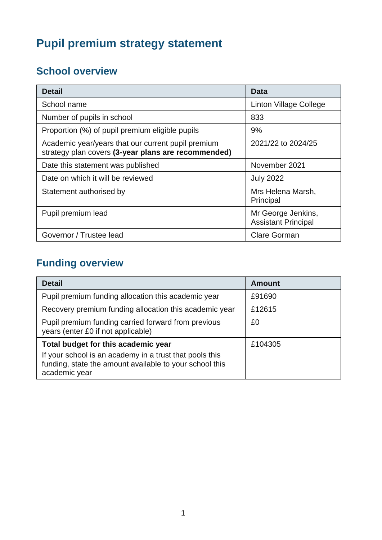# **Pupil premium strategy statement**

## **School overview**

| Detail                                                                                                    | <b>Data</b>                                      |
|-----------------------------------------------------------------------------------------------------------|--------------------------------------------------|
| School name                                                                                               | Linton Village College                           |
| Number of pupils in school                                                                                | 833                                              |
| Proportion (%) of pupil premium eligible pupils                                                           | 9%                                               |
| Academic year/years that our current pupil premium<br>strategy plan covers (3-year plans are recommended) | 2021/22 to 2024/25                               |
| Date this statement was published                                                                         | November 2021                                    |
| Date on which it will be reviewed                                                                         | <b>July 2022</b>                                 |
| Statement authorised by                                                                                   | Mrs Helena Marsh,<br>Principal                   |
| Pupil premium lead                                                                                        | Mr George Jenkins,<br><b>Assistant Principal</b> |
| Governor / Trustee lead                                                                                   | <b>Clare Gorman</b>                              |

## **Funding overview**

| <b>Detail</b>                                                                                                                       | <b>Amount</b> |
|-------------------------------------------------------------------------------------------------------------------------------------|---------------|
| Pupil premium funding allocation this academic year                                                                                 | £91690        |
| Recovery premium funding allocation this academic year                                                                              | £12615        |
| Pupil premium funding carried forward from previous<br>years (enter £0 if not applicable)                                           | £0            |
| Total budget for this academic year                                                                                                 | £104305       |
| If your school is an academy in a trust that pools this<br>funding, state the amount available to your school this<br>academic year |               |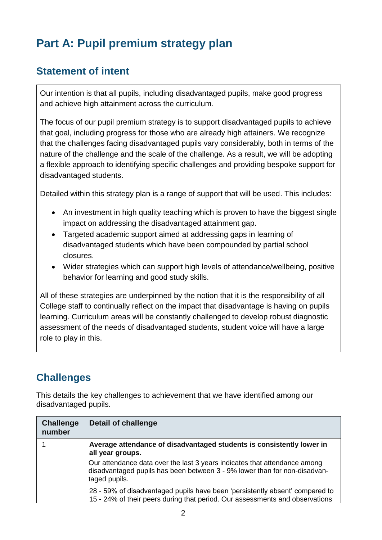## **Part A: Pupil premium strategy plan**

### **Statement of intent**

Our intention is that all pupils, including disadvantaged pupils, make good progress and achieve high attainment across the curriculum.

The focus of our pupil premium strategy is to support disadvantaged pupils to achieve that goal, including progress for those who are already high attainers. We recognize that the challenges facing disadvantaged pupils vary considerably, both in terms of the nature of the challenge and the scale of the challenge. As a result, we will be adopting a flexible approach to identifying specific challenges and providing bespoke support for disadvantaged students.

Detailed within this strategy plan is a range of support that will be used. This includes:

- An investment in high quality teaching which is proven to have the biggest single impact on addressing the disadvantaged attainment gap.
- Targeted academic support aimed at addressing gaps in learning of disadvantaged students which have been compounded by partial school closures.
- Wider strategies which can support high levels of attendance/wellbeing, positive behavior for learning and good study skills.

All of these strategies are underpinned by the notion that it is the responsibility of all College staff to continually reflect on the impact that disadvantage is having on pupils learning. Curriculum areas will be constantly challenged to develop robust diagnostic assessment of the needs of disadvantaged students, student voice will have a large role to play in this.

### **Challenges**

This details the key challenges to achievement that we have identified among our disadvantaged pupils.

| <b>Challenge</b><br>number | <b>Detail of challenge</b>                                                                                                                                              |
|----------------------------|-------------------------------------------------------------------------------------------------------------------------------------------------------------------------|
|                            | Average attendance of disadvantaged students is consistently lower in<br>all year groups.                                                                               |
|                            | Our attendance data over the last 3 years indicates that attendance among<br>disadvantaged pupils has been between 3 - 9% lower than for non-disadvan-<br>taged pupils. |
|                            | 28 - 59% of disadvantaged pupils have been 'persistently absent' compared to<br>15 - 24% of their peers during that period. Our assessments and observations            |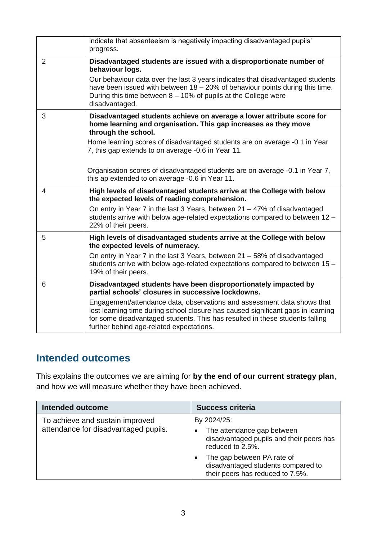|                | indicate that absenteeism is negatively impacting disadvantaged pupils'<br>progress.                                                                                                                                                                                                    |
|----------------|-----------------------------------------------------------------------------------------------------------------------------------------------------------------------------------------------------------------------------------------------------------------------------------------|
| $\overline{2}$ | Disadvantaged students are issued with a disproportionate number of<br>behaviour logs.                                                                                                                                                                                                  |
|                | Our behaviour data over the last 3 years indicates that disadvantaged students<br>have been issued with between $18 - 20\%$ of behaviour points during this time.<br>During this time between $8 - 10\%$ of pupils at the College were<br>disadvantaged.                                |
| 3              | Disadvantaged students achieve on average a lower attribute score for<br>home learning and organisation. This gap increases as they move<br>through the school.                                                                                                                         |
|                | Home learning scores of disadvantaged students are on average -0.1 in Year<br>7, this gap extends to on average -0.6 in Year 11.                                                                                                                                                        |
|                | Organisation scores of disadvantaged students are on average -0.1 in Year 7,<br>this ap extended to on average -0.6 in Year 11.                                                                                                                                                         |
| 4              | High levels of disadvantaged students arrive at the College with below<br>the expected levels of reading comprehension.                                                                                                                                                                 |
|                | On entry in Year 7 in the last 3 Years, between 21 – 47% of disadvantaged<br>students arrive with below age-related expectations compared to between 12 -<br>22% of their peers.                                                                                                        |
| 5              | High levels of disadvantaged students arrive at the College with below<br>the expected levels of numeracy.                                                                                                                                                                              |
|                | On entry in Year 7 in the last 3 Years, between 21 - 58% of disadvantaged<br>students arrive with below age-related expectations compared to between 15 -<br>19% of their peers.                                                                                                        |
| 6              | Disadvantaged students have been disproportionately impacted by<br>partial schools' closures in successive lockdowns.                                                                                                                                                                   |
|                | Engagement/attendance data, observations and assessment data shows that<br>lost learning time during school closure has caused significant gaps in learning<br>for some disadvantaged students. This has resulted in these students falling<br>further behind age-related expectations. |

### **Intended outcomes**

This explains the outcomes we are aiming for **by the end of our current strategy plan**, and how we will measure whether they have been achieved.

| <b>Intended outcome</b>                                                 | <b>Success criteria</b>                                                                                                                                                                                           |
|-------------------------------------------------------------------------|-------------------------------------------------------------------------------------------------------------------------------------------------------------------------------------------------------------------|
| To achieve and sustain improved<br>attendance for disadvantaged pupils. | By 2024/25:<br>The attendance gap between<br>disadvantaged pupils and their peers has<br>reduced to 2.5%.<br>The gap between PA rate of<br>disadvantaged students compared to<br>their peers has reduced to 7.5%. |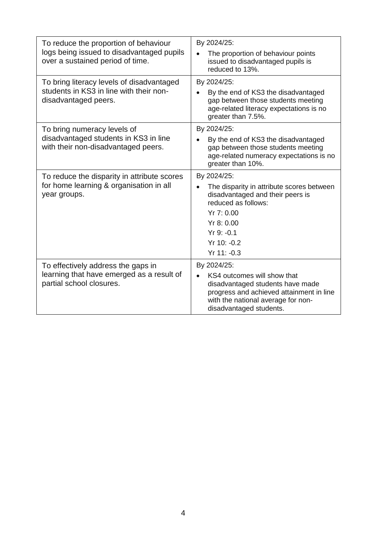| To reduce the proportion of behaviour<br>logs being issued to disadvantaged pupils<br>over a sustained period of time. | By 2024/25:<br>The proportion of behaviour points<br>issued to disadvantaged pupils is<br>reduced to 13%.                                                                                                 |
|------------------------------------------------------------------------------------------------------------------------|-----------------------------------------------------------------------------------------------------------------------------------------------------------------------------------------------------------|
| To bring literacy levels of disadvantaged<br>students in KS3 in line with their non-<br>disadvantaged peers.           | By 2024/25:<br>By the end of KS3 the disadvantaged<br>gap between those students meeting<br>age-related literacy expectations is no<br>greater than 7.5%.                                                 |
| To bring numeracy levels of<br>disadvantaged students in KS3 in line<br>with their non-disadvantaged peers.            | By 2024/25:<br>By the end of KS3 the disadvantaged<br>gap between those students meeting<br>age-related numeracy expectations is no<br>greater than 10%.                                                  |
| To reduce the disparity in attribute scores<br>for home learning & organisation in all<br>year groups.                 | By 2024/25:<br>The disparity in attribute scores between<br>$\bullet$<br>disadvantaged and their peers is<br>reduced as follows:<br>Yr 7: 0.00<br>Yr 8: 0.00<br>$Yr9: -0.1$<br>Yr 10: -0.2<br>Yr 11: -0.3 |
| To effectively address the gaps in<br>learning that have emerged as a result of<br>partial school closures.            | By 2024/25:<br>KS4 outcomes will show that<br>$\bullet$<br>disadvantaged students have made<br>progress and achieved attainment in line<br>with the national average for non-<br>disadvantaged students.  |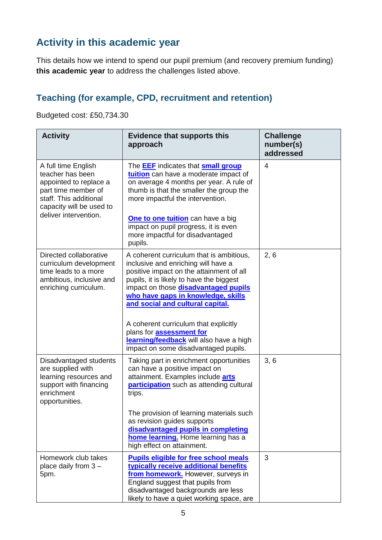### **Activity in this academic year**

This details how we intend to spend our pupil premium (and recovery premium funding) **this academic year** to address the challenges listed above.

#### **Teaching (for example, CPD, recruitment and retention)**

Budgeted cost: £50,734.30

| <b>Activity</b>                                                                                                                                                         | <b>Evidence that supports this</b><br>approach                                                                                                                                                                                                                                                                                                                                                                                                                  | <b>Challenge</b><br>number(s)<br>addressed |
|-------------------------------------------------------------------------------------------------------------------------------------------------------------------------|-----------------------------------------------------------------------------------------------------------------------------------------------------------------------------------------------------------------------------------------------------------------------------------------------------------------------------------------------------------------------------------------------------------------------------------------------------------------|--------------------------------------------|
| A full time English<br>teacher has been<br>appointed to replace a<br>part time member of<br>staff. This additional<br>capacity will be used to<br>deliver intervention. | The <b>EEF</b> indicates that <b>small group</b><br>tuition can have a moderate impact of<br>on average 4 months per year. A rule of<br>thumb is that the smaller the group the<br>more impactful the intervention.<br>One to one tuition can have a big<br>impact on pupil progress, it is even<br>more impactful for disadvantaged<br>pupils.                                                                                                                 | 4                                          |
| Directed collaborative<br>curriculum development<br>time leads to a more<br>ambitious, inclusive and<br>enriching curriculum.                                           | A coherent curriculum that is ambitious,<br>inclusive and enriching will have a<br>positive impact on the attainment of all<br>pupils, it is likely to have the biggest<br>impact on those <b>disadvantaged pupils</b><br>who have gaps in knowledge, skills<br>and social and cultural capital.<br>A coherent curriculum that explicitly<br>plans for <b>assessment for</b><br>learning/feedback will also have a high<br>impact on some disadvantaged pupils. | 2, 6                                       |
| Disadvantaged students<br>are supplied with<br>learning resources and<br>support with financing<br>enrichment<br>opportunities.                                         | Taking part in enrichment opportunities<br>can have a positive impact on<br>attainment. Examples include arts<br>participation such as attending cultural<br>trips.<br>The provision of learning materials such<br>as revision guides supports<br>disadvantaged pupils in completing<br>home learning. Home learning has a<br>high effect on attainment.                                                                                                        | 3, 6                                       |
| Homework club takes<br>place daily from $3 -$<br>5pm.                                                                                                                   | <b>Pupils eligible for free school meals</b><br>typically receive additional benefits<br>from homework. However, surveys in<br>England suggest that pupils from<br>disadvantaged backgrounds are less<br>likely to have a quiet working space, are                                                                                                                                                                                                              | 3                                          |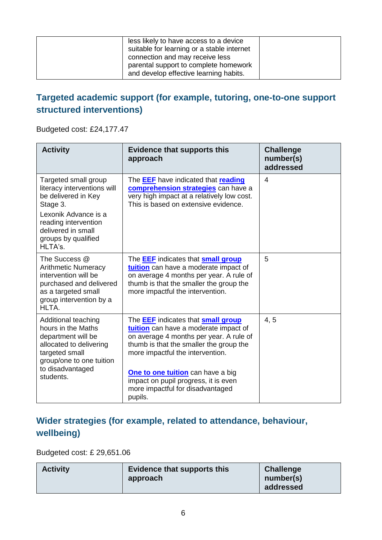| less likely to have access to a device<br>suitable for learning or a stable internet<br>connection and may receive less<br>parental support to complete homework<br>and develop effective learning habits. |  |
|------------------------------------------------------------------------------------------------------------------------------------------------------------------------------------------------------------|--|
|------------------------------------------------------------------------------------------------------------------------------------------------------------------------------------------------------------|--|

#### **Targeted academic support (for example, tutoring, one-to-one support structured interventions)**

Budgeted cost: £24,177.47

| <b>Activity</b>                                                                                                                                           | <b>Evidence that supports this</b><br>approach                                                                                                                                                                      | <b>Challenge</b><br>number(s)<br>addressed |
|-----------------------------------------------------------------------------------------------------------------------------------------------------------|---------------------------------------------------------------------------------------------------------------------------------------------------------------------------------------------------------------------|--------------------------------------------|
| Targeted small group<br>literacy interventions will<br>be delivered in Key<br>Stage 3.                                                                    | The <b>EEF</b> have indicated that reading<br>comprehension strategies can have a<br>very high impact at a relatively low cost.<br>This is based on extensive evidence.                                             | $\overline{4}$                             |
| Lexonik Advance is a<br>reading intervention<br>delivered in small<br>groups by qualified<br>HLTA's.                                                      |                                                                                                                                                                                                                     |                                            |
| The Success @<br><b>Arithmetic Numeracy</b><br>intervention will be<br>purchased and delivered<br>as a targeted small<br>group intervention by a<br>HLTA. | The <b>EEF</b> indicates that <b>small group</b><br>tuition can have a moderate impact of<br>on average 4 months per year. A rule of<br>thumb is that the smaller the group the<br>more impactful the intervention. | 5                                          |
| Additional teaching<br>hours in the Maths<br>department will be<br>allocated to delivering<br>targeted small<br>group/one to one tuition                  | The <b>EEF</b> indicates that <b>small group</b><br>tuition can have a moderate impact of<br>on average 4 months per year. A rule of<br>thumb is that the smaller the group the<br>more impactful the intervention. | 4, 5                                       |
| to disadvantaged<br>students.                                                                                                                             | One to one tuition can have a big<br>impact on pupil progress, it is even<br>more impactful for disadvantaged<br>pupils.                                                                                            |                                            |

#### **Wider strategies (for example, related to attendance, behaviour, wellbeing)**

Budgeted cost: £ 29,651.06

| <b>Activity</b> | <b>Evidence that supports this</b><br>approach | <b>Challenge</b><br>number(s)<br>addressed |
|-----------------|------------------------------------------------|--------------------------------------------|
|-----------------|------------------------------------------------|--------------------------------------------|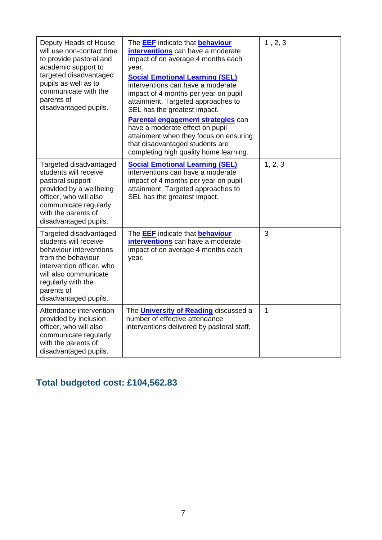| Deputy Heads of House<br>will use non-contact time<br>to provide pastoral and<br>academic support to<br>targeted disadvantaged<br>pupils as well as to<br>communicate with the<br>parents of<br>disadvantaged pupils. | The <b>EEF</b> indicate that <b>behaviour</b><br>interventions can have a moderate<br>impact of on average 4 months each<br>year.<br><b>Social Emotional Learning (SEL)</b><br>interventions can have a moderate<br>impact of 4 months per year on pupil<br>attainment. Targeted approaches to<br>SEL has the greatest impact.<br>Parental engagement strategies can<br>have a moderate effect on pupil<br>attainment when they focus on ensuring<br>that disadvantaged students are<br>completing high quality home learning. | 1, 2, 3      |
|-----------------------------------------------------------------------------------------------------------------------------------------------------------------------------------------------------------------------|--------------------------------------------------------------------------------------------------------------------------------------------------------------------------------------------------------------------------------------------------------------------------------------------------------------------------------------------------------------------------------------------------------------------------------------------------------------------------------------------------------------------------------|--------------|
| Targeted disadvantaged<br>students will receive<br>pastoral support<br>provided by a wellbeing<br>officer, who will also<br>communicate regularly<br>with the parents of<br>disadvantaged pupils.                     | <b>Social Emotional Learning (SEL)</b><br>interventions can have a moderate<br>impact of 4 months per year on pupil<br>attainment. Targeted approaches to<br>SEL has the greatest impact.                                                                                                                                                                                                                                                                                                                                      | 1, 2, 3      |
| Targeted disadvantaged<br>students will receive<br>behaviour interventions<br>from the behaviour<br>intervention officer, who<br>will also communicate<br>regularly with the<br>parents of<br>disadvantaged pupils.   | The <b>EEF</b> indicate that <b>behaviour</b><br>interventions can have a moderate<br>impact of on average 4 months each<br>year.                                                                                                                                                                                                                                                                                                                                                                                              | 3            |
| Attendance intervention<br>provided by inclusion<br>officer, who will also<br>communicate regularly<br>with the parents of<br>disadvantaged pupils.                                                                   | The <b>University of Reading</b> discussed a<br>number of effective attendance<br>interventions delivered by pastoral staff.                                                                                                                                                                                                                                                                                                                                                                                                   | $\mathbf{1}$ |

## **Total budgeted cost: £104,562.83**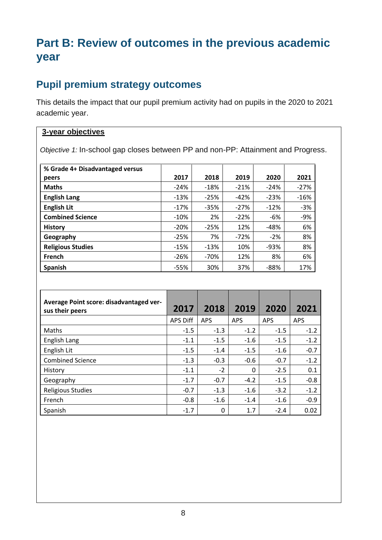## **Part B: Review of outcomes in the previous academic year**

### **Pupil premium strategy outcomes**

This details the impact that our pupil premium activity had on pupils in the 2020 to 2021 academic year.

#### **3-year objectives**

*Objective 1:* In-school gap closes between PP and non-PP: Attainment and Progress.

| % Grade 4+ Disadvantaged versus |        |        |        |        |        |
|---------------------------------|--------|--------|--------|--------|--------|
| peers                           | 2017   | 2018   | 2019   | 2020   | 2021   |
| <b>Maths</b>                    | $-24%$ | $-18%$ | $-21%$ | $-24%$ | $-27%$ |
| <b>English Lang</b>             | $-13%$ | $-25%$ | $-42%$ | $-23%$ | $-16%$ |
| <b>English Lit</b>              | $-17%$ | $-35%$ | $-27%$ | $-12%$ | $-3%$  |
| <b>Combined Science</b>         | $-10%$ | 2%     | $-22%$ | -6%    | $-9%$  |
| <b>History</b>                  | $-20%$ | $-25%$ | 12%    | $-48%$ | 6%     |
| Geography                       | $-25%$ | 7%     | $-72%$ | $-2%$  | 8%     |
| <b>Religious Studies</b>        | $-15%$ | $-13%$ | 10%    | $-93%$ | 8%     |
| <b>French</b>                   | $-26%$ | -70%   | 12%    | 8%     | 6%     |
| Spanish                         | $-55%$ | 30%    | 37%    | $-88%$ | 17%    |

| Average Point score: disadvantaged ver-<br>sus their peers | 2017            | 2018       | 2019       | 2020       | 2021       |
|------------------------------------------------------------|-----------------|------------|------------|------------|------------|
|                                                            | <b>APS Diff</b> | <b>APS</b> | <b>APS</b> | <b>APS</b> | <b>APS</b> |
| Maths                                                      | $-1.5$          | $-1.3$     | $-1.2$     | $-1.5$     | $-1.2$     |
| English Lang                                               | $-1.1$          | $-1.5$     | $-1.6$     | $-1.5$     | $-1.2$     |
| English Lit                                                | $-1.5$          | $-1.4$     | $-1.5$     | $-1.6$     | $-0.7$     |
| <b>Combined Science</b>                                    | $-1.3$          | $-0.3$     | $-0.6$     | $-0.7$     | $-1.2$     |
| History                                                    | $-1.1$          | $-2$       | 0          | $-2.5$     | 0.1        |
| Geography                                                  | $-1.7$          | $-0.7$     | $-4.2$     | $-1.5$     | $-0.8$     |
| <b>Religious Studies</b>                                   | $-0.7$          | $-1.3$     | $-1.6$     | $-3.2$     | $-1.2$     |
| French                                                     | $-0.8$          | $-1.6$     | $-1.4$     | $-1.6$     | $-0.9$     |
| Spanish                                                    | $-1.7$          | 0          | 1.7        | $-2.4$     | 0.02       |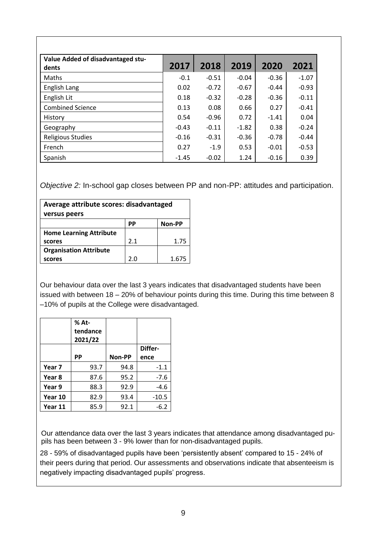| Value Added of disadvantaged stu-<br>dents | 2017    | 2018    | 2019    | 2020    | 2021    |
|--------------------------------------------|---------|---------|---------|---------|---------|
| Maths                                      | $-0.1$  | $-0.51$ | $-0.04$ | $-0.36$ | $-1.07$ |
| English Lang                               | 0.02    | $-0.72$ | $-0.67$ | $-0.44$ | $-0.93$ |
| English Lit                                | 0.18    | $-0.32$ | $-0.28$ | $-0.36$ | $-0.11$ |
| <b>Combined Science</b>                    | 0.13    | 0.08    | 0.66    | 0.27    | $-0.41$ |
| History                                    | 0.54    | $-0.96$ | 0.72    | $-1.41$ | 0.04    |
| Geography                                  | $-0.43$ | $-0.11$ | $-1.82$ | 0.38    | $-0.24$ |
| <b>Religious Studies</b>                   | $-0.16$ | $-0.31$ | $-0.36$ | $-0.78$ | $-0.44$ |
| French                                     | 0.27    | $-1.9$  | 0.53    | $-0.01$ | $-0.53$ |
| Spanish                                    | $-1.45$ | $-0.02$ | 1.24    | $-0.16$ | 0.39    |

*Objective 2:* In-school gap closes between PP and non-PP: attitudes and participation.

| Average attribute scores: disadvantaged<br>versus peers |     |        |  |
|---------------------------------------------------------|-----|--------|--|
|                                                         | РP  | Non-PP |  |
| <b>Home Learning Attribute</b>                          |     |        |  |
| scores                                                  | 2.1 | 1.75   |  |
| <b>Organisation Attribute</b>                           |     |        |  |
| scores                                                  | 2.0 | 1.675  |  |

Our behaviour data over the last 3 years indicates that disadvantaged students have been issued with between 18 – 20% of behaviour points during this time. During this time between 8 –10% of pupils at the College were disadvantaged.

|         | % At-<br>tendance<br>2021/22 |        |         |
|---------|------------------------------|--------|---------|
|         |                              |        | Differ- |
|         | РP                           | Non-PP | ence    |
| Year 7  | 93.7                         | 94.8   | $-1.1$  |
| Year 8  | 87.6                         | 95.2   | $-7.6$  |
| Year 9  | 88.3                         | 92.9   | -4.6    |
| Year 10 | 82.9                         | 93.4   | $-10.5$ |
| Year 11 | 85.9                         | 92.1   | -6.2    |

Our attendance data over the last 3 years indicates that attendance among disadvantaged pupils has been between 3 - 9% lower than for non-disadvantaged pupils.

28 - 59% of disadvantaged pupils have been 'persistently absent' compared to 15 - 24% of their peers during that period. Our assessments and observations indicate that absenteeism is negatively impacting disadvantaged pupils' progress.